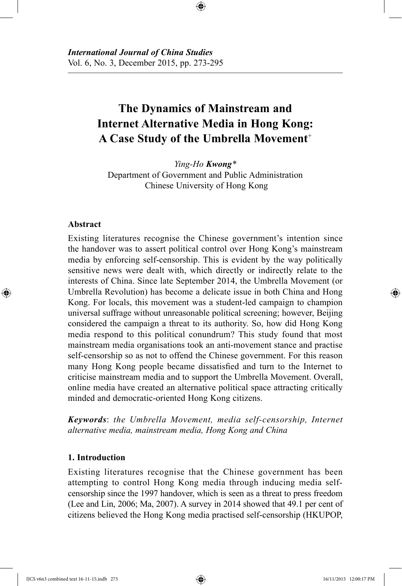# **The Dynamics of Mainstream and Internet Alternative Media in Hong Kong: A Case Study of the Umbrella Movement**<sup>+</sup>

⊕

*Ying-Ho Kwong\** Department of Government and Public Administration Chinese University of Hong Kong

## **Abstract**

⊕

Existing literatures recognise the Chinese government's intention since the handover was to assert political control over Hong Kong's mainstream media by enforcing self-censorship. This is evident by the way politically sensitive news were dealt with, which directly or indirectly relate to the interests of China. Since late September 2014, the Umbrella Movement (or Umbrella Revolution) has become a delicate issue in both China and Hong Kong. For locals, this movement was a student-led campaign to champion universal suffrage without unreasonable political screening; however, Beijing considered the campaign a threat to its authority. So, how did Hong Kong media respond to this political conundrum? This study found that most mainstream media organisations took an anti-movement stance and practise self-censorship so as not to offend the Chinese government. For this reason many Hong Kong people became dissatisfied and turn to the Internet to criticise mainstream media and to support the Umbrella Movement. Overall, online media have created an alternative political space attracting critically minded and democratic-oriented Hong Kong citizens.

*Keywords*: *the Umbrella Movement, media self-censorship, Internet alternative media, mainstream media, Hong Kong and China*

## **1. Introduction**

Existing literatures recognise that the Chinese government has been attempting to control Hong Kong media through inducing media selfcensorship since the 1997 handover, which is seen as a threat to press freedom (Lee and Lin, 2006; Ma, 2007). A survey in 2014 showed that 49.1 per cent of citizens believed the Hong Kong media practised self-censorship (HKUPOP,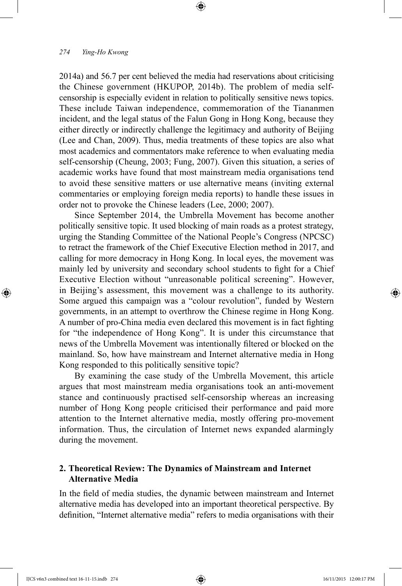2014a) and 56.7 per cent believed the media had reservations about criticising the Chinese government (HKUPOP, 2014b). The problem of media selfcensorship is especially evident in relation to politically sensitive news topics. These include Taiwan independence, commemoration of the Tiananmen incident, and the legal status of the Falun Gong in Hong Kong, because they either directly or indirectly challenge the legitimacy and authority of Beijing (Lee and Chan, 2009). Thus, media treatments of these topics are also what most academics and commentators make reference to when evaluating media self-censorship (Cheung, 2003; Fung, 2007). Given this situation, a series of academic works have found that most mainstream media organisations tend to avoid these sensitive matters or use alternative means (inviting external commentaries or employing foreign media reports) to handle these issues in order not to provoke the Chinese leaders (Lee, 2000; 2007).

⊕

Since September 2014, the Umbrella Movement has become another politically sensitive topic. It used blocking of main roads as a protest strategy, urging the Standing Committee of the National People's Congress (NPCSC) to retract the framework of the Chief Executive Election method in 2017, and calling for more democracy in Hong Kong. In local eyes, the movement was mainly led by university and secondary school students to fight for a Chief Executive Election without "unreasonable political screening". However, in Beijing's assessment, this movement was a challenge to its authority. Some argued this campaign was a "colour revolution", funded by Western governments, in an attempt to overthrow the Chinese regime in Hong Kong. A number of pro-China media even declared this movement is in fact fighting for "the independence of Hong Kong". It is under this circumstance that news of the Umbrella Movement was intentionally filtered or blocked on the mainland. So, how have mainstream and Internet alternative media in Hong Kong responded to this politically sensitive topic?

By examining the case study of the Umbrella Movement, this article argues that most mainstream media organisations took an anti-movement stance and continuously practised self-censorship whereas an increasing number of Hong Kong people criticised their performance and paid more attention to the Internet alternative media, mostly offering pro-movement information. Thus, the circulation of Internet news expanded alarmingly during the movement.

# **2. Theoretical Review: The Dynamics of Mainstream and Internet Alternative Media**

In the field of media studies, the dynamic between mainstream and Internet alternative media has developed into an important theoretical perspective. By definition, "Internet alternative media" refers to media organisations with their

⊕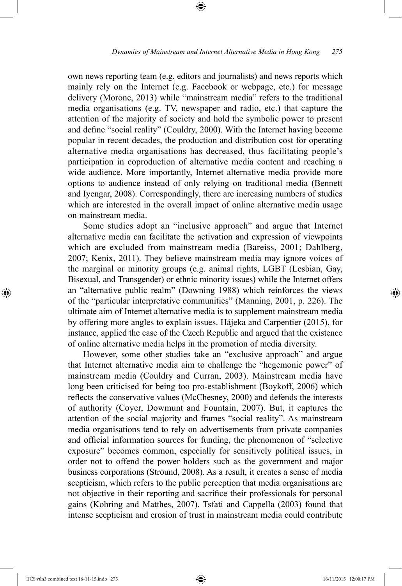own news reporting team (e.g. editors and journalists) and news reports which mainly rely on the Internet (e.g. Facebook or webpage, etc.) for message delivery (Morone, 2013) while "mainstream media" refers to the traditional media organisations (e.g. TV, newspaper and radio, etc.) that capture the attention of the majority of society and hold the symbolic power to present and define "social reality" (Couldry, 2000). With the Internet having become popular in recent decades, the production and distribution cost for operating alternative media organisations has decreased, thus facilitating people's participation in coproduction of alternative media content and reaching a wide audience. More importantly, Internet alternative media provide more options to audience instead of only relying on traditional media (Bennett and Iyengar, 2008). Correspondingly, there are increasing numbers of studies which are interested in the overall impact of online alternative media usage on mainstream media.

⊕

Some studies adopt an "inclusive approach" and argue that Internet alternative media can facilitate the activation and expression of viewpoints which are excluded from mainstream media (Bareiss, 2001; Dahlberg, 2007; Kenix, 2011). They believe mainstream media may ignore voices of the marginal or minority groups (e.g. animal rights, LGBT (Lesbian, Gay, Bisexual, and Transgender) or ethnic minority issues) while the Internet offers an "alternative public realm" (Downing 1988) which reinforces the views of the "particular interpretative communities" (Manning, 2001, p. 226). The ultimate aim of Internet alternative media is to supplement mainstream media by offering more angles to explain issues. Hájeka and Carpentier (2015), for instance, applied the case of the Czech Republic and argued that the existence of online alternative media helps in the promotion of media diversity.

However, some other studies take an "exclusive approach" and argue that Internet alternative media aim to challenge the "hegemonic power" of mainstream media (Couldry and Curran, 2003). Mainstream media have long been criticised for being too pro-establishment (Boykoff, 2006) which reflects the conservative values (McChesney, 2000) and defends the interests of authority (Coyer, Dowmunt and Fountain, 2007). But, it captures the attention of the social majority and frames "social reality". As mainstream media organisations tend to rely on advertisements from private companies and official information sources for funding, the phenomenon of "selective exposure" becomes common, especially for sensitively political issues, in order not to offend the power holders such as the government and major business corporations (Stround, 2008). As a result, it creates a sense of media scepticism, which refers to the public perception that media organisations are not objective in their reporting and sacrifice their professionals for personal gains (Kohring and Matthes, 2007). Tsfati and Cappella (2003) found that intense scepticism and erosion of trust in mainstream media could contribute

⊕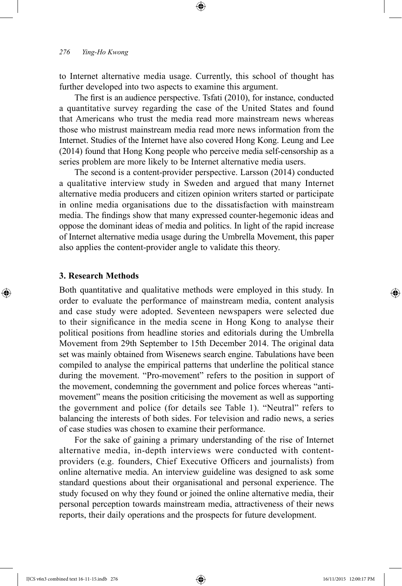to Internet alternative media usage. Currently, this school of thought has further developed into two aspects to examine this argument.

⊕

The first is an audience perspective. Tsfati (2010), for instance, conducted a quantitative survey regarding the case of the United States and found that Americans who trust the media read more mainstream news whereas those who mistrust mainstream media read more news information from the Internet. Studies of the Internet have also covered Hong Kong. Leung and Lee (2014) found that Hong Kong people who perceive media self-censorship as a series problem are more likely to be Internet alternative media users.

The second is a content-provider perspective. Larsson (2014) conducted a qualitative interview study in Sweden and argued that many Internet alternative media producers and citizen opinion writers started or participate in online media organisations due to the dissatisfaction with mainstream media. The findings show that many expressed counter-hegemonic ideas and oppose the dominant ideas of media and politics. In light of the rapid increase of Internet alternative media usage during the Umbrella Movement, this paper also applies the content-provider angle to validate this theory.

#### **3. Research Methods**

⊕

Both quantitative and qualitative methods were employed in this study. In order to evaluate the performance of mainstream media, content analysis and case study were adopted. Seventeen newspapers were selected due to their significance in the media scene in Hong Kong to analyse their political positions from headline stories and editorials during the Umbrella Movement from 29th September to 15th December 2014. The original data set was mainly obtained from Wisenews search engine. Tabulations have been compiled to analyse the empirical patterns that underline the political stance during the movement. "Pro-movement" refers to the position in support of the movement, condemning the government and police forces whereas "antimovement" means the position criticising the movement as well as supporting the government and police (for details see Table 1). "Neutral" refers to balancing the interests of both sides. For television and radio news, a series of case studies was chosen to examine their performance.

For the sake of gaining a primary understanding of the rise of Internet alternative media, in-depth interviews were conducted with contentproviders (e.g. founders, Chief Executive Officers and journalists) from online alternative media. An interview guideline was designed to ask some standard questions about their organisational and personal experience. The study focused on why they found or joined the online alternative media, their personal perception towards mainstream media, attractiveness of their news reports, their daily operations and the prospects for future development.

IJCS v6n3 combined text 16-11-15.indb 276 16/11/2015 12:00:17 PM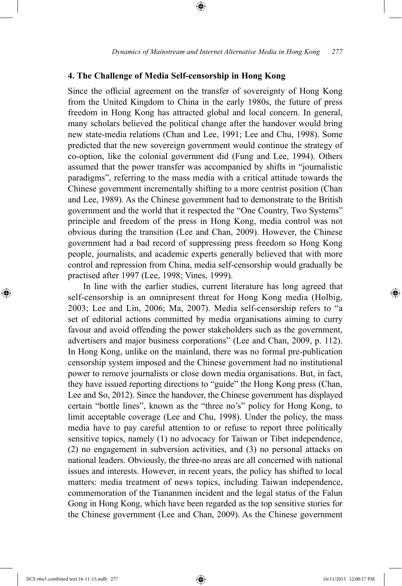## **4. The Challenge of Media Self-censorship in Hong Kong**

Since the official agreement on the transfer of sovereignty of Hong Kong from the United Kingdom to China in the early 1980s, the future of press freedom in Hong Kong has attracted global and local concern. In general, many scholars believed the political change after the handover would bring new state-media relations (Chan and Lee, 1991; Lee and Chu, 1998). Some predicted that the new sovereign government would continue the strategy of co-option, like the colonial government did (Fung and Lee, 1994). Others assumed that the power transfer was accompanied by shifts in "journalistic paradigms", referring to the mass media with a critical attitude towards the Chinese government incrementally shifting to a more centrist position (Chan and Lee, 1989). As the Chinese government had to demonstrate to the British government and the world that it respected the "One Country, Two Systems" principle and freedom of the press in Hong Kong, media control was not obvious during the transition (Lee and Chan, 2009). However, the Chinese government had a bad record of suppressing press freedom so Hong Kong people, journalists, and academic experts generally believed that with more control and repression from China, media self-censorship would gradually be practised after 1997 (Lee, 1998; Vines, 1999).

In line with the earlier studies, current literature has long agreed that self-censorship is an omnipresent threat for Hong Kong media (Holbig, 2003; Lee and Lin, 2006; Ma, 2007). Media self-censorship refers to "a set of editorial actions committed by media organisations aiming to curry favour and avoid offending the power stakeholders such as the government, advertisers and major business corporations" (Lee and Chan, 2009, p. 112). In Hong Kong, unlike on the mainland, there was no formal pre-publication censorship system imposed and the Chinese government had no institutional power to remove journalists or close down media organisations. But, in fact, they have issued reporting directions to "guide" the Hong Kong press (Chan, Lee and So, 2012). Since the handover, the Chinese government has displayed certain "bottle lines", known as the "three no's" policy for Hong Kong, to limit acceptable coverage (Lee and Chu, 1998). Under the policy, the mass media have to pay careful attention to or refuse to report three politically sensitive topics, namely (1) no advocacy for Taiwan or Tibet independence, (2) no engagement in subversion activities, and (3) no personal attacks on national leaders. Obviously, the three-no areas are all concerned with national issues and interests. However, in recent years, the policy has shifted to local matters: media treatment of news topics, including Taiwan independence, commemoration of the Tiananmen incident and the legal status of the Falun Gong in Hong Kong, which have been regarded as the top sensitive stories for the Chinese government (Lee and Chan, 2009). As the Chinese government

⊕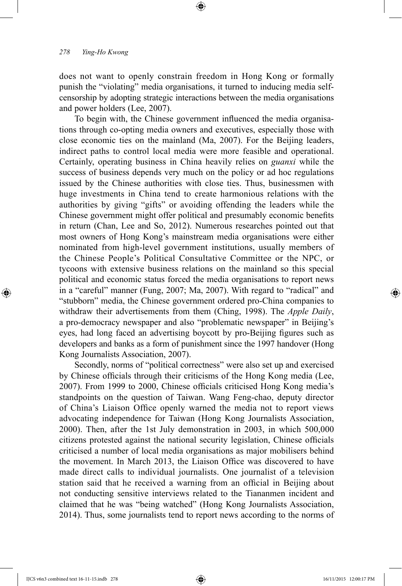does not want to openly constrain freedom in Hong Kong or formally punish the "violating" media organisations, it turned to inducing media selfcensorship by adopting strategic interactions between the media organisations and power holders (Lee, 2007).

⊕

To begin with, the Chinese government influenced the media organisations through co-opting media owners and executives, especially those with close economic ties on the mainland (Ma, 2007). For the Beijing leaders, indirect paths to control local media were more feasible and operational. Certainly, operating business in China heavily relies on *guanxi* while the success of business depends very much on the policy or ad hoc regulations issued by the Chinese authorities with close ties. Thus, businessmen with huge investments in China tend to create harmonious relations with the authorities by giving "gifts" or avoiding offending the leaders while the Chinese government might offer political and presumably economic benefits in return (Chan, Lee and So, 2012). Numerous researches pointed out that most owners of Hong Kong's mainstream media organisations were either nominated from high-level government institutions, usually members of the Chinese People's Political Consultative Committee or the NPC, or tycoons with extensive business relations on the mainland so this special political and economic status forced the media organisations to report news in a "careful" manner (Fung, 2007; Ma, 2007). With regard to "radical" and "stubborn" media, the Chinese government ordered pro-China companies to withdraw their advertisements from them (Ching, 1998). The *Apple Daily*, a pro-democracy newspaper and also "problematic newspaper" in Beijing's eyes, had long faced an advertising boycott by pro-Beijing figures such as developers and banks as a form of punishment since the 1997 handover (Hong Kong Journalists Association, 2007).

Secondly, norms of "political correctness" were also set up and exercised by Chinese officials through their criticisms of the Hong Kong media (Lee, 2007). From 1999 to 2000, Chinese officials criticised Hong Kong media's standpoints on the question of Taiwan. Wang Feng-chao, deputy director of China's Liaison Office openly warned the media not to report views advocating independence for Taiwan (Hong Kong Journalists Association, 2000). Then, after the 1st July demonstration in 2003, in which 500,000 citizens protested against the national security legislation, Chinese officials criticised a number of local media organisations as major mobilisers behind the movement. In March 2013, the Liaison Office was discovered to have made direct calls to individual journalists. One journalist of a television station said that he received a warning from an official in Beijing about not conducting sensitive interviews related to the Tiananmen incident and claimed that he was "being watched" (Hong Kong Journalists Association, 2014). Thus, some journalists tend to report news according to the norms of

⊕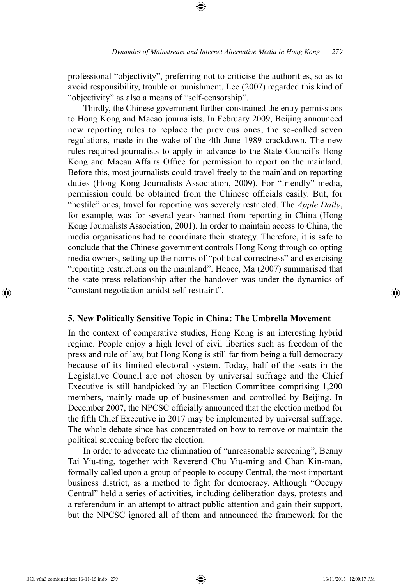professional "objectivity", preferring not to criticise the authorities, so as to avoid responsibility, trouble or punishment. Lee (2007) regarded this kind of "objectivity" as also a means of "self-censorship".

⊕

Thirdly, the Chinese government further constrained the entry permissions to Hong Kong and Macao journalists. In February 2009, Beijing announced new reporting rules to replace the previous ones, the so-called seven regulations, made in the wake of the 4th June 1989 crackdown. The new rules required journalists to apply in advance to the State Council's Hong Kong and Macau Affairs Office for permission to report on the mainland. Before this, most journalists could travel freely to the mainland on reporting duties (Hong Kong Journalists Association, 2009). For "friendly" media, permission could be obtained from the Chinese officials easily. But, for "hostile" ones, travel for reporting was severely restricted. The *Apple Daily*, for example, was for several years banned from reporting in China (Hong Kong Journalists Association, 2001). In order to maintain access to China, the media organisations had to coordinate their strategy. Therefore, it is safe to conclude that the Chinese government controls Hong Kong through co-opting media owners, setting up the norms of "political correctness" and exercising "reporting restrictions on the mainland". Hence, Ma (2007) summarised that the state-press relationship after the handover was under the dynamics of "constant negotiation amidst self-restraint".

#### **5. New Politically Sensitive Topic in China: The Umbrella Movement**

In the context of comparative studies, Hong Kong is an interesting hybrid regime. People enjoy a high level of civil liberties such as freedom of the press and rule of law, but Hong Kong is still far from being a full democracy because of its limited electoral system. Today, half of the seats in the Legislative Council are not chosen by universal suffrage and the Chief Executive is still handpicked by an Election Committee comprising 1,200 members, mainly made up of businessmen and controlled by Beijing. In December 2007, the NPCSC officially announced that the election method for the fifth Chief Executive in 2017 may be implemented by universal suffrage. The whole debate since has concentrated on how to remove or maintain the political screening before the election.

In order to advocate the elimination of "unreasonable screening", Benny Tai Yiu-ting, together with Reverend Chu Yiu-ming and Chan Kin-man, formally called upon a group of people to occupy Central, the most important business district, as a method to fight for democracy. Although "Occupy Central" held a series of activities, including deliberation days, protests and a referendum in an attempt to attract public attention and gain their support, but the NPCSC ignored all of them and announced the framework for the

IJCS v6n3 combined text 16-11-15.indb 279 16/11/2015 12:00:17 PM

⊕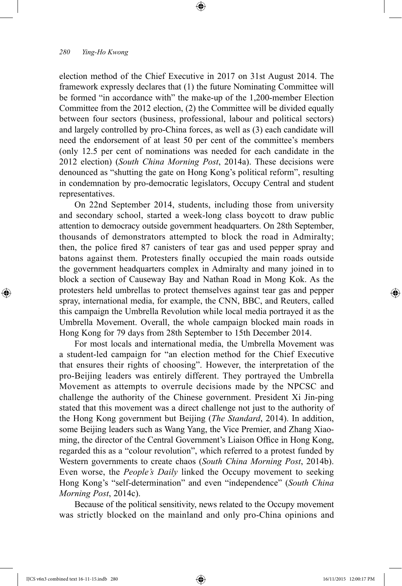election method of the Chief Executive in 2017 on 31st August 2014. The framework expressly declares that (1) the future Nominating Committee will be formed "in accordance with" the make-up of the 1,200-member Election Committee from the 2012 election, (2) the Committee will be divided equally between four sectors (business, professional, labour and political sectors) and largely controlled by pro-China forces, as well as (3) each candidate will need the endorsement of at least 50 per cent of the committee's members (only 12.5 per cent of nominations was needed for each candidate in the 2012 election) (*South China Morning Post*, 2014a). These decisions were denounced as "shutting the gate on Hong Kong's political reform", resulting in condemnation by pro-democratic legislators, Occupy Central and student representatives.

⊕

On 22nd September 2014, students, including those from university and secondary school, started a week-long class boycott to draw public attention to democracy outside government headquarters. On 28th September, thousands of demonstrators attempted to block the road in Admiralty; then, the police fired 87 canisters of tear gas and used pepper spray and batons against them. Protesters finally occupied the main roads outside the government headquarters complex in Admiralty and many joined in to block a section of Causeway Bay and Nathan Road in Mong Kok. As the protesters held umbrellas to protect themselves against tear gas and pepper spray, international media, for example, the CNN, BBC, and Reuters, called this campaign the Umbrella Revolution while local media portrayed it as the Umbrella Movement. Overall, the whole campaign blocked main roads in Hong Kong for 79 days from 28th September to 15th December 2014.

For most locals and international media, the Umbrella Movement was a student-led campaign for "an election method for the Chief Executive that ensures their rights of choosing". However, the interpretation of the pro-Beijing leaders was entirely different. They portrayed the Umbrella Movement as attempts to overrule decisions made by the NPCSC and challenge the authority of the Chinese government. President Xi Jin-ping stated that this movement was a direct challenge not just to the authority of the Hong Kong government but Beijing (*The Standard*, 2014). In addition, some Beijing leaders such as Wang Yang, the Vice Premier, and Zhang Xiaoming, the director of the Central Government's Liaison Office in Hong Kong, regarded this as a "colour revolution", which referred to a protest funded by Western governments to create chaos (*South China Morning Post*, 2014b). Even worse, the *People's Daily* linked the Occupy movement to seeking Hong Kong's "self-determination" and even "independence" (*South China Morning Post*, 2014c).

Because of the political sensitivity, news related to the Occupy movement was strictly blocked on the mainland and only pro-China opinions and

⊕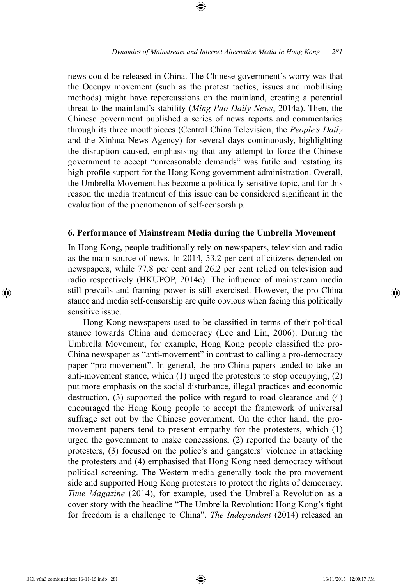news could be released in China. The Chinese government's worry was that the Occupy movement (such as the protest tactics, issues and mobilising methods) might have repercussions on the mainland, creating a potential threat to the mainland's stability (*Ming Pao Daily News*, 2014a). Then, the Chinese government published a series of news reports and commentaries through its three mouthpieces (Central China Television, the *People's Daily* and the Xinhua News Agency) for several days continuously, highlighting the disruption caused, emphasising that any attempt to force the Chinese government to accept "unreasonable demands" was futile and restating its high-profile support for the Hong Kong government administration. Overall, the Umbrella Movement has become a politically sensitive topic, and for this reason the media treatment of this issue can be considered significant in the evaluation of the phenomenon of self-censorship.

⊕

#### **6. Performance of Mainstream Media during the Umbrella Movement**

In Hong Kong, people traditionally rely on newspapers, television and radio as the main source of news. In 2014, 53.2 per cent of citizens depended on newspapers, while 77.8 per cent and 26.2 per cent relied on television and radio respectively (HKUPOP, 2014c). The influence of mainstream media still prevails and framing power is still exercised. However, the pro-China stance and media self-censorship are quite obvious when facing this politically sensitive issue.

Hong Kong newspapers used to be classified in terms of their political stance towards China and democracy (Lee and Lin, 2006). During the Umbrella Movement, for example, Hong Kong people classified the pro-China newspaper as "anti-movement" in contrast to calling a pro-democracy paper "pro-movement". In general, the pro-China papers tended to take an anti-movement stance, which (1) urged the protesters to stop occupying, (2) put more emphasis on the social disturbance, illegal practices and economic destruction, (3) supported the police with regard to road clearance and (4) encouraged the Hong Kong people to accept the framework of universal suffrage set out by the Chinese government. On the other hand, the promovement papers tend to present empathy for the protesters, which (1) urged the government to make concessions, (2) reported the beauty of the protesters, (3) focused on the police's and gangsters' violence in attacking the protesters and (4) emphasised that Hong Kong need democracy without political screening. The Western media generally took the pro-movement side and supported Hong Kong protesters to protect the rights of democracy. *Time Magazine* (2014), for example, used the Umbrella Revolution as a cover story with the headline "The Umbrella Revolution: Hong Kong's fight for freedom is a challenge to China". *The Independent* (2014) released an

⊕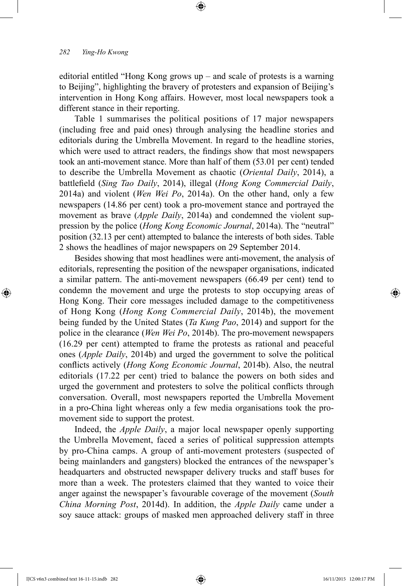editorial entitled "Hong Kong grows up – and scale of protests is a warning to Beijing", highlighting the bravery of protesters and expansion of Beijing's intervention in Hong Kong affairs. However, most local newspapers took a different stance in their reporting.

⊕

Table 1 summarises the political positions of 17 major newspapers (including free and paid ones) through analysing the headline stories and editorials during the Umbrella Movement. In regard to the headline stories, which were used to attract readers, the findings show that most newspapers took an anti-movement stance. More than half of them (53.01 per cent) tended to describe the Umbrella Movement as chaotic (*Oriental Daily*, 2014), a battlefield (*Sing Tao Daily*, 2014), illegal (*Hong Kong Commercial Daily*, 2014a) and violent (*Wen Wei Po*, 2014a). On the other hand, only a few newspapers (14.86 per cent) took a pro-movement stance and portrayed the movement as brave (*Apple Daily*, 2014a) and condemned the violent suppression by the police (*Hong Kong Economic Journal*, 2014a). The "neutral" position (32.13 per cent) attempted to balance the interests of both sides. Table 2 shows the headlines of major newspapers on 29 September 2014.

Besides showing that most headlines were anti-movement, the analysis of editorials, representing the position of the newspaper organisations, indicated a similar pattern. The anti-movement newspapers (66.49 per cent) tend to condemn the movement and urge the protests to stop occupying areas of Hong Kong. Their core messages included damage to the competitiveness of Hong Kong (*Hong Kong Commercial Daily*, 2014b), the movement being funded by the United States (*Ta Kung Pao*, 2014) and support for the police in the clearance (*Wen Wei Po*, 2014b). The pro-movement newspapers (16.29 per cent) attempted to frame the protests as rational and peaceful ones (*Apple Daily*, 2014b) and urged the government to solve the political conflicts actively (*Hong Kong Economic Journal*, 2014b). Also, the neutral editorials (17.22 per cent) tried to balance the powers on both sides and urged the government and protesters to solve the political conflicts through conversation. Overall, most newspapers reported the Umbrella Movement in a pro-China light whereas only a few media organisations took the promovement side to support the protest.

Indeed, the *Apple Daily*, a major local newspaper openly supporting the Umbrella Movement, faced a series of political suppression attempts by pro-China camps. A group of anti-movement protesters (suspected of being mainlanders and gangsters) blocked the entrances of the newspaper's headquarters and obstructed newspaper delivery trucks and staff buses for more than a week. The protesters claimed that they wanted to voice their anger against the newspaper's favourable coverage of the movement (*South China Morning Post*, 2014d). In addition, the *Apple Daily* came under a soy sauce attack: groups of masked men approached delivery staff in three

IJCS v6n3 combined text 16-11-15.indb 282 16/11/2015 12:00:17 PM

⊕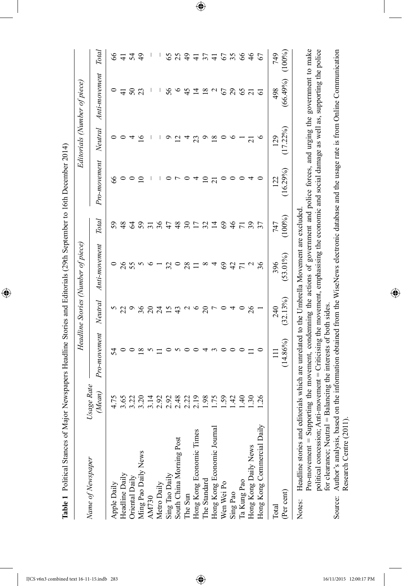| I                               |
|---------------------------------|
|                                 |
|                                 |
|                                 |
|                                 |
|                                 |
|                                 |
|                                 |
|                                 |
|                                 |
| $\mathbf{r}$                    |
|                                 |
|                                 |
|                                 |
|                                 |
|                                 |
|                                 |
|                                 |
|                                 |
|                                 |
|                                 |
|                                 |
|                                 |
|                                 |
| )<br> <br> <br>                 |
|                                 |
|                                 |
|                                 |
|                                 |
|                                 |
|                                 |
| $C = C \cdot C$ $C = C \cdot C$ |
|                                 |
|                                 |
|                                 |
|                                 |
|                                 |
|                                 |
|                                 |
|                                 |
|                                 |
|                                 |
|                                 |
|                                 |
|                                 |
|                                 |
|                                 |
|                                 |
|                                 |
|                                 |
|                                 |
|                                 |
|                                 |
|                                 |
| Ï                               |
|                                 |
|                                 |
|                                 |
|                                 |
|                                 |
|                                 |
|                                 |
|                                 |
|                                 |
|                                 |
|                                 |
|                                 |
|                                 |
| $\overline{a}$                  |
|                                 |
|                                 |
|                                 |
|                                 |
|                                 |
|                                 |
|                                 |
|                                 |
|                                 |
|                                 |
|                                 |
|                                 |
|                                 |
|                                 |
| $\ddot{\phantom{0}}$            |
|                                 |
|                                 |
|                                 |
|                                 |
|                                 |
|                                 |
|                                 |
|                                 |
|                                 |
|                                 |
|                                 |
|                                 |
|                                 |
| Table 1 Dal<br>$\frac{1}{2}$    |

 $\bigoplus$ 

|                                                                                                                                                                       |                      |                                                                      |                 | Headline Stories (Number of piece) |                |                |                     | Editorials (Number of piece) |                                     |
|-----------------------------------------------------------------------------------------------------------------------------------------------------------------------|----------------------|----------------------------------------------------------------------|-----------------|------------------------------------|----------------|----------------|---------------------|------------------------------|-------------------------------------|
| Name of Newspaper                                                                                                                                                     | Usage Rate<br>(Mean) | Pro-movement                                                         | Neutral         | Anti-movement                      | Total          | Pro-movement   | Neutral             | Anti-movement                | Total                               |
|                                                                                                                                                                       |                      | 54                                                                   |                 |                                    | 59             | 8              |                     |                              | 8                                   |
| Apple Daily<br>Headline Daily                                                                                                                                         | 3.65                 |                                                                      |                 | 26                                 | $\frac{8}{4}$  |                |                     | 4                            | $\frac{4}{1}$                       |
| Oriental Daily                                                                                                                                                        | 3.22                 |                                                                      |                 |                                    | Z,             |                |                     | $50\,$                       | $\mathcal{L}$                       |
| Ming Pao Daily News                                                                                                                                                   | 3.20                 | $^{\circ}$                                                           | 36              |                                    | 59             |                |                     | 23                           | $\overline{6}$                      |
| <b>AM730</b>                                                                                                                                                          | 3.14                 |                                                                      | $\Omega$        |                                    | $\overline{5}$ |                |                     |                              |                                     |
| Metro Daily                                                                                                                                                           | 2.92                 |                                                                      | $\overline{24}$ |                                    | 36             |                |                     |                              |                                     |
|                                                                                                                                                                       | 2.92                 |                                                                      |                 |                                    | 47             |                |                     | 56                           | 65                                  |
| Sing Tao Daily<br>South China Morning Post                                                                                                                            | 2.48                 |                                                                      | $\frac{4}{3}$   |                                    | 48             |                |                     |                              | 25                                  |
| The Sun                                                                                                                                                               | 2.22                 |                                                                      | $\mathbf{\sim}$ | 28                                 | $30\,$         |                |                     | 45                           | $\frac{4}{9}$                       |
| Hong Kong Economic Times                                                                                                                                              | 2.19                 |                                                                      | $\circ$         |                                    |                |                | 23                  | 그                            | $\exists$                           |
| The Standard                                                                                                                                                          | 1.98                 |                                                                      | $\approx$       | ∞                                  | 32             | $\Xi$          |                     | $\frac{8}{18}$               | $\overline{\overline{\overline{}}}$ |
| Hong Kong Economic Journal                                                                                                                                            | 1.75                 |                                                                      |                 |                                    | $\vec{a}$      | $\overline{c}$ | $\frac{8}{10}$      | $\sim$                       | $\overline{4}$                      |
| Wen Wei Po                                                                                                                                                            | .59                  |                                                                      |                 | 69                                 | 69             |                |                     | 67                           | 67                                  |
| Sing Pao                                                                                                                                                              | $\frac{42}{5}$       |                                                                      |                 | $\overline{4}$                     | $\frac{4}{6}$  |                |                     | 29                           | 35                                  |
| Ta Kung Pao                                                                                                                                                           | $\overline{6}$       |                                                                      |                 |                                    |                |                |                     | 65                           | 99                                  |
| Hong Kong Daily News                                                                                                                                                  | $\frac{30}{2}$       |                                                                      | $\frac{26}{5}$  |                                    | 39             |                | $\overline{\Omega}$ | $\overline{c}$               | $\frac{4}{6}$                       |
| Hong Kong Commercial Daily                                                                                                                                            | .26                  |                                                                      |                 | 36                                 | 37             |                |                     | 6                            | 67                                  |
| Total                                                                                                                                                                 |                      |                                                                      | 240             | 396                                | 747            | 122            | 129                 | 498                          | 749                                 |
| (Per cent)                                                                                                                                                            |                      | $(14.86\%)$                                                          | (32.13%)        | $(53.01\%)$                        | (100%)         | (16.29%)       | (17.22%             | (66.49%)                     | (100%)                              |
| Headline stories and<br>Notes:                                                                                                                                        |                      | editorials which are unrelated to the Umbrella Movement are excluded |                 |                                    |                |                |                     |                              |                                     |
| Pro-movement = Supporting the movement, condemning the actions of government and police forces, and urging the government to make                                     |                      |                                                                      |                 |                                    |                |                |                     |                              |                                     |
| political concession; Anti-movement = Criticising the movement, emphasising the economic and social damage as well as, supporting the police<br>for clearance; Neutra |                      | = Balancing the interests of both sides.                             |                 |                                    |                |                |                     |                              |                                     |
| Source: Author's analysis, based on the information obtained from the WiseNews electronic database and the usage rate is from Online Communication                    |                      |                                                                      |                 |                                    |                |                |                     |                              |                                     |

 $\bigoplus$ 

political concession; Anti-movement = Criticising the movement, emphasising the economic and social damage as well as, supporting the police Source: Author's analysis, based on the information obtained from the WiseNews electronic database and the usage rate is from Online Communication for clearance; Neutral = Balancing the interests of both sides. for clearance; Neutral = Balancing the interests of both sides. Research Centre (2011). Research Centre (2011).

 $\bigoplus$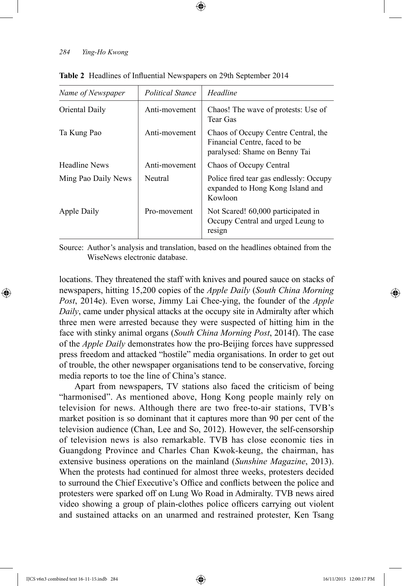| Name of Newspaper    | <b>Political Stance</b> | Headline                                                                                              |
|----------------------|-------------------------|-------------------------------------------------------------------------------------------------------|
| Oriental Daily       | Anti-movement           | Chaos! The wave of protests: Use of<br>Tear Gas                                                       |
| Ta Kung Pao          | Anti-movement           | Chaos of Occupy Centre Central, the<br>Financial Centre, faced to be<br>paralysed: Shame on Benny Tai |
| <b>Headline News</b> | Anti-movement           | Chaos of Occupy Central                                                                               |
| Ming Pao Daily News  | Neutral                 | Police fired tear gas endlessly: Occupy<br>expanded to Hong Kong Island and<br>Kowloon                |
| Apple Daily          | Pro-movement            | Not Scared! 60,000 participated in<br>Occupy Central and urged Leung to<br>resign                     |

⊕

**Table 2** Headlines of Influential Newspapers on 29th September 2014

Source: Author's analysis and translation, based on the headlines obtained from the WiseNews electronic database.

locations. They threatened the staff with knives and poured sauce on stacks of newspapers, hitting 15,200 copies of the *Apple Daily* (*South China Morning Post*, 2014e). Even worse, Jimmy Lai Chee-ying, the founder of the *Apple Daily*, came under physical attacks at the occupy site in Admiralty after which three men were arrested because they were suspected of hitting him in the face with stinky animal organs (*South China Morning Post*, 2014f). The case of the *Apple Daily* demonstrates how the pro-Beijing forces have suppressed press freedom and attacked "hostile" media organisations. In order to get out of trouble, the other newspaper organisations tend to be conservative, forcing media reports to toe the line of China's stance.

Apart from newspapers, TV stations also faced the criticism of being "harmonised". As mentioned above, Hong Kong people mainly rely on television for news. Although there are two free-to-air stations, TVB's market position is so dominant that it captures more than 90 per cent of the television audience (Chan, Lee and So, 2012). However, the self-censorship of television news is also remarkable. TVB has close economic ties in Guangdong Province and Charles Chan Kwok-keung, the chairman, has extensive business operations on the mainland (*Sunshine Magazine*, 2013). When the protests had continued for almost three weeks, protesters decided to surround the Chief Executive's Office and conflicts between the police and protesters were sparked off on Lung Wo Road in Admiralty. TVB news aired video showing a group of plain-clothes police officers carrying out violent and sustained attacks on an unarmed and restrained protester, Ken Tsang

⊕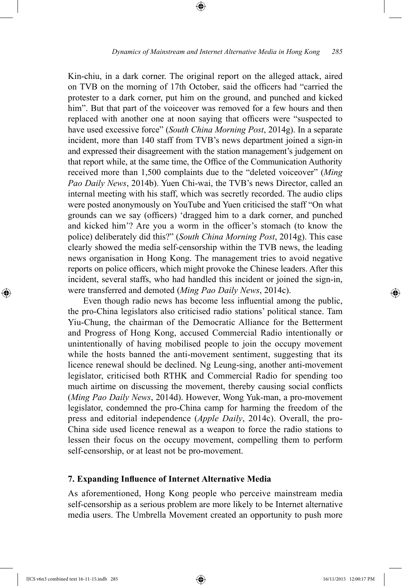Kin-chiu, in a dark corner. The original report on the alleged attack, aired on TVB on the morning of 17th October, said the officers had "carried the protester to a dark corner, put him on the ground, and punched and kicked him". But that part of the voiceover was removed for a few hours and then replaced with another one at noon saying that officers were "suspected to have used excessive force" (*South China Morning Post*, 2014g). In a separate incident, more than 140 staff from TVB's news department joined a sign-in and expressed their disagreement with the station management's judgement on that report while, at the same time, the Office of the Communication Authority received more than 1,500 complaints due to the "deleted voiceover" (*Ming Pao Daily News*, 2014b). Yuen Chi-wai, the TVB's news Director, called an internal meeting with his staff, which was secretly recorded. The audio clips were posted anonymously on YouTube and Yuen criticised the staff "On what grounds can we say (officers) 'dragged him to a dark corner, and punched and kicked him'? Are you a worm in the officer's stomach (to know the police) deliberately did this?" (*South China Morning Post*, 2014g). This case clearly showed the media self-censorship within the TVB news, the leading news organisation in Hong Kong. The management tries to avoid negative reports on police officers, which might provoke the Chinese leaders. After this incident, several staffs, who had handled this incident or joined the sign-in, were transferred and demoted (*Ming Pao Daily News*, 2014c).

Even though radio news has become less influential among the public, the pro-China legislators also criticised radio stations' political stance. Tam Yiu-Chung, the chairman of the Democratic Alliance for the Betterment and Progress of Hong Kong, accused Commercial Radio intentionally or unintentionally of having mobilised people to join the occupy movement while the hosts banned the anti-movement sentiment, suggesting that its licence renewal should be declined. Ng Leung-sing, another anti-movement legislator, criticised both RTHK and Commercial Radio for spending too much airtime on discussing the movement, thereby causing social conflicts (*Ming Pao Daily News*, 2014d). However, Wong Yuk-man, a pro-movement legislator, condemned the pro-China camp for harming the freedom of the press and editorial independence (*Apple Daily*, 2014c). Overall, the pro-China side used licence renewal as a weapon to force the radio stations to lessen their focus on the occupy movement, compelling them to perform self-censorship, or at least not be pro-movement.

#### **7. Expanding Influence of Internet Alternative Media**

As aforementioned, Hong Kong people who perceive mainstream media self-censorship as a serious problem are more likely to be Internet alternative media users. The Umbrella Movement created an opportunity to push more

⊕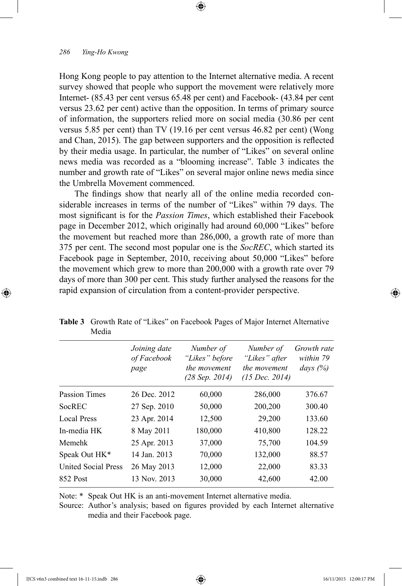Hong Kong people to pay attention to the Internet alternative media. A recent survey showed that people who support the movement were relatively more Internet- (85.43 per cent versus 65.48 per cent) and Facebook- (43.84 per cent versus 23.62 per cent) active than the opposition. In terms of primary source of information, the supporters relied more on social media (30.86 per cent versus 5.85 per cent) than TV (19.16 per cent versus 46.82 per cent) (Wong and Chan, 2015). The gap between supporters and the opposition is reflected by their media usage. In particular, the number of "Likes" on several online news media was recorded as a "blooming increase". Table 3 indicates the number and growth rate of "Likes" on several major online news media since the Umbrella Movement commenced.

⊕

The findings show that nearly all of the online media recorded considerable increases in terms of the number of "Likes" within 79 days. The most significant is for the *Passion Times*, which established their Facebook page in December 2012, which originally had around 60,000 "Likes" before the movement but reached more than 286,000, a growth rate of more than 375 per cent. The second most popular one is the *SocREC*, which started its Facebook page in September, 2010, receiving about 50,000 "Likes" before the movement which grew to more than 200,000 with a growth rate over 79 days of more than 300 per cent. This study further analysed the reasons for the rapid expansion of circulation from a content-provider perspective.

|                            | Joining date<br>of Facebook<br>page | Number of<br>"Likes" before<br>the movement<br>(28 Sep. 2014) | Number of<br>"Likes" after<br>the movement<br>$(15 \text{ Dec. } 2014)$ | Growth rate<br>within 79<br>days $(%)$ |
|----------------------------|-------------------------------------|---------------------------------------------------------------|-------------------------------------------------------------------------|----------------------------------------|
| <b>Passion Times</b>       | 26 Dec. 2012                        | 60,000                                                        | 286,000                                                                 | 376.67                                 |
| <b>SocREC</b>              | 27 Sep. 2010                        | 50,000                                                        | 200,200                                                                 | 300.40                                 |
| <b>Local Press</b>         | 23 Apr. 2014                        | 12,500                                                        | 29,200                                                                  | 133.60                                 |
| In-media HK                | 8 May 2011                          | 180,000                                                       | 410,800                                                                 | 128.22                                 |
| Memehk                     | 25 Apr. 2013                        | 37,000                                                        | 75,700                                                                  | 104.59                                 |
| Speak Out HK*              | 14 Jan. 2013                        | 70,000                                                        | 132,000                                                                 | 88.57                                  |
| <b>United Social Press</b> | 26 May 2013                         | 12,000                                                        | 22,000                                                                  | 83.33                                  |
| 852 Post                   | 13 Nov. 2013                        | 30,000                                                        | 42,600                                                                  | 42.00                                  |

**Table 3** Growth Rate of "Likes" on Facebook Pages of Major Internet Alternative Media

Note: \* Speak Out HK is an anti-movement Internet alternative media.

Source: Author's analysis; based on figures provided by each Internet alternative media and their Facebook page.

⊕

↔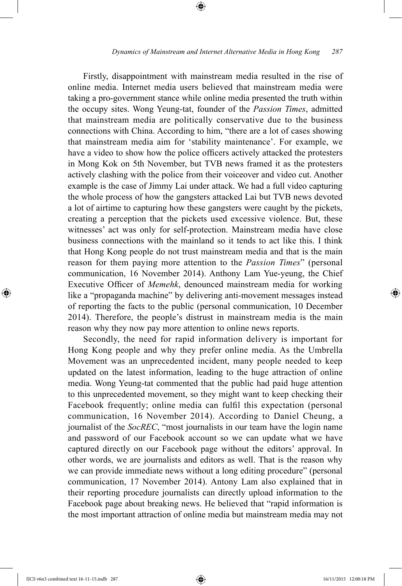Firstly, disappointment with mainstream media resulted in the rise of online media. Internet media users believed that mainstream media were taking a pro-government stance while online media presented the truth within the occupy sites. Wong Yeung-tat, founder of the *Passion Times*, admitted that mainstream media are politically conservative due to the business connections with China. According to him, "there are a lot of cases showing that mainstream media aim for 'stability maintenance'. For example, we have a video to show how the police officers actively attacked the protesters in Mong Kok on 5th November, but TVB news framed it as the protesters actively clashing with the police from their voiceover and video cut. Another example is the case of Jimmy Lai under attack. We had a full video capturing the whole process of how the gangsters attacked Lai but TVB news devoted a lot of airtime to capturing how these gangsters were caught by the pickets, creating a perception that the pickets used excessive violence. But, these witnesses' act was only for self-protection. Mainstream media have close business connections with the mainland so it tends to act like this. I think that Hong Kong people do not trust mainstream media and that is the main reason for them paying more attention to the *Passion Times*" (personal communication, 16 November 2014). Anthony Lam Yue-yeung, the Chief Executive Officer of *Memehk*, denounced mainstream media for working like a "propaganda machine" by delivering anti-movement messages instead of reporting the facts to the public (personal communication, 10 December 2014). Therefore, the people's distrust in mainstream media is the main reason why they now pay more attention to online news reports.

Secondly, the need for rapid information delivery is important for Hong Kong people and why they prefer online media. As the Umbrella Movement was an unprecedented incident, many people needed to keep updated on the latest information, leading to the huge attraction of online media. Wong Yeung-tat commented that the public had paid huge attention to this unprecedented movement, so they might want to keep checking their Facebook frequently; online media can fulfil this expectation (personal communication, 16 November 2014). According to Daniel Cheung, a journalist of the *SocREC*, "most journalists in our team have the login name and password of our Facebook account so we can update what we have captured directly on our Facebook page without the editors' approval. In other words, we are journalists and editors as well. That is the reason why we can provide immediate news without a long editing procedure" (personal communication, 17 November 2014). Antony Lam also explained that in their reporting procedure journalists can directly upload information to the Facebook page about breaking news. He believed that "rapid information is the most important attraction of online media but mainstream media may not

⊕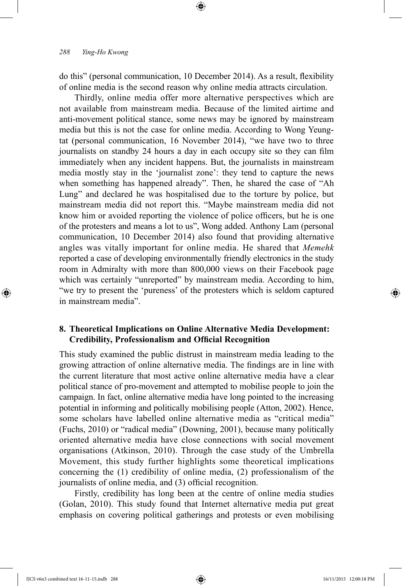do this" (personal communication, 10 December 2014). As a result, flexibility of online media is the second reason why online media attracts circulation.

⊕

Thirdly, online media offer more alternative perspectives which are not available from mainstream media. Because of the limited airtime and anti-movement political stance, some news may be ignored by mainstream media but this is not the case for online media. According to Wong Yeungtat (personal communication, 16 November 2014), "we have two to three journalists on standby 24 hours a day in each occupy site so they can film immediately when any incident happens. But, the journalists in mainstream media mostly stay in the 'journalist zone': they tend to capture the news when something has happened already". Then, he shared the case of "Ah Lung" and declared he was hospitalised due to the torture by police, but mainstream media did not report this. "Maybe mainstream media did not know him or avoided reporting the violence of police officers, but he is one of the protesters and means a lot to us", Wong added. Anthony Lam (personal communication, 10 December 2014) also found that providing alternative angles was vitally important for online media. He shared that *Memehk* reported a case of developing environmentally friendly electronics in the study room in Admiralty with more than 800,000 views on their Facebook page which was certainly "unreported" by mainstream media. According to him, "we try to present the 'pureness' of the protesters which is seldom captured in mainstream media".

# **8. Theoretical Implications on Online Alternative Media Development: Credibility, Professionalism and Official Recognition**

This study examined the public distrust in mainstream media leading to the growing attraction of online alternative media. The findings are in line with the current literature that most active online alternative media have a clear political stance of pro-movement and attempted to mobilise people to join the campaign. In fact, online alternative media have long pointed to the increasing potential in informing and politically mobilising people (Atton, 2002). Hence, some scholars have labelled online alternative media as "critical media" (Fuchs, 2010) or "radical media" (Downing, 2001), because many politically oriented alternative media have close connections with social movement organisations (Atkinson, 2010). Through the case study of the Umbrella Movement, this study further highlights some theoretical implications concerning the (1) credibility of online media, (2) professionalism of the journalists of online media, and (3) official recognition.

Firstly, credibility has long been at the centre of online media studies (Golan, 2010). This study found that Internet alternative media put great emphasis on covering political gatherings and protests or even mobilising

IJCS v6n3 combined text 16-11-15.indb 288 16/11/2015 12:00:18 PM

⊕

↔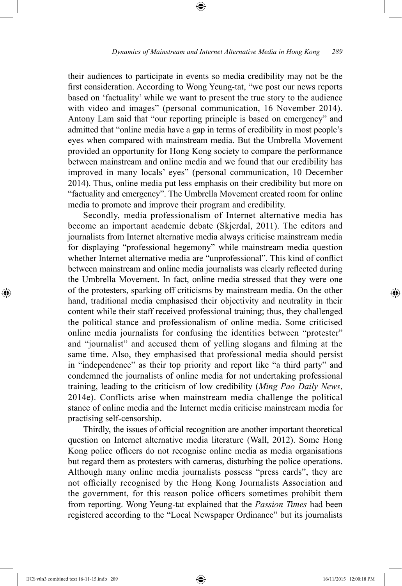their audiences to participate in events so media credibility may not be the first consideration. According to Wong Yeung-tat, "we post our news reports based on 'factuality' while we want to present the true story to the audience with video and images" (personal communication, 16 November 2014). Antony Lam said that "our reporting principle is based on emergency" and admitted that "online media have a gap in terms of credibility in most people's eyes when compared with mainstream media. But the Umbrella Movement provided an opportunity for Hong Kong society to compare the performance between mainstream and online media and we found that our credibility has improved in many locals' eyes" (personal communication, 10 December 2014). Thus, online media put less emphasis on their credibility but more on "factuality and emergency". The Umbrella Movement created room for online media to promote and improve their program and credibility.

⊕

Secondly, media professionalism of Internet alternative media has become an important academic debate (Skjerdal, 2011). The editors and journalists from Internet alternative media always criticise mainstream media for displaying "professional hegemony" while mainstream media question whether Internet alternative media are "unprofessional". This kind of conflict between mainstream and online media journalists was clearly reflected during the Umbrella Movement. In fact, online media stressed that they were one of the protesters, sparking off criticisms by mainstream media. On the other hand, traditional media emphasised their objectivity and neutrality in their content while their staff received professional training; thus, they challenged the political stance and professionalism of online media. Some criticised online media journalists for confusing the identities between "protester" and "journalist" and accused them of yelling slogans and filming at the same time. Also, they emphasised that professional media should persist in "independence" as their top priority and report like "a third party" and condemned the journalists of online media for not undertaking professional training, leading to the criticism of low credibility (*Ming Pao Daily News*, 2014e). Conflicts arise when mainstream media challenge the political stance of online media and the Internet media criticise mainstream media for practising self-censorship.

Thirdly, the issues of official recognition are another important theoretical question on Internet alternative media literature (Wall, 2012). Some Hong Kong police officers do not recognise online media as media organisations but regard them as protesters with cameras, disturbing the police operations. Although many online media journalists possess "press cards", they are not officially recognised by the Hong Kong Journalists Association and the government, for this reason police officers sometimes prohibit them from reporting. Wong Yeung-tat explained that the *Passion Times* had been registered according to the "Local Newspaper Ordinance" but its journalists

⊕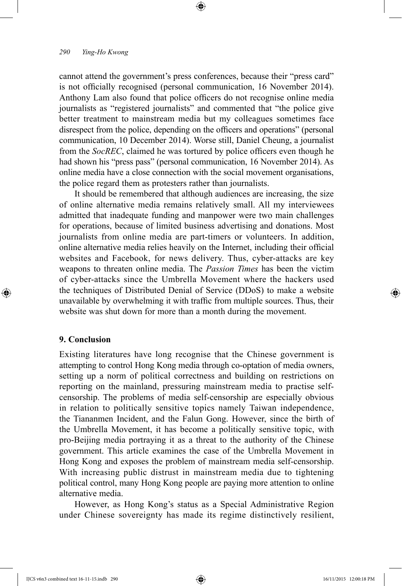cannot attend the government's press conferences, because their "press card" is not officially recognised (personal communication, 16 November 2014). Anthony Lam also found that police officers do not recognise online media journalists as "registered journalists" and commented that "the police give better treatment to mainstream media but my colleagues sometimes face disrespect from the police, depending on the officers and operations" (personal communication, 10 December 2014). Worse still, Daniel Cheung, a journalist from the *SocREC*, claimed he was tortured by police officers even though he had shown his "press pass" (personal communication, 16 November 2014). As online media have a close connection with the social movement organisations, the police regard them as protesters rather than journalists.

⊕

It should be remembered that although audiences are increasing, the size of online alternative media remains relatively small. All my interviewees admitted that inadequate funding and manpower were two main challenges for operations, because of limited business advertising and donations. Most journalists from online media are part-timers or volunteers. In addition, online alternative media relies heavily on the Internet, including their official websites and Facebook, for news delivery. Thus, cyber-attacks are key weapons to threaten online media. The *Passion Times* has been the victim of cyber-attacks since the Umbrella Movement where the hackers used the techniques of Distributed Denial of Service (DDoS) to make a website unavailable by overwhelming it with traffic from multiple sources. Thus, their website was shut down for more than a month during the movement.

## **9. Conclusion**

⊕

Existing literatures have long recognise that the Chinese government is attempting to control Hong Kong media through co-optation of media owners, setting up a norm of political correctness and building on restrictions on reporting on the mainland, pressuring mainstream media to practise selfcensorship. The problems of media self-censorship are especially obvious in relation to politically sensitive topics namely Taiwan independence, the Tiananmen Incident, and the Falun Gong. However, since the birth of the Umbrella Movement, it has become a politically sensitive topic, with pro-Beijing media portraying it as a threat to the authority of the Chinese government. This article examines the case of the Umbrella Movement in Hong Kong and exposes the problem of mainstream media self-censorship. With increasing public distrust in mainstream media due to tightening political control, many Hong Kong people are paying more attention to online alternative media.

However, as Hong Kong's status as a Special Administrative Region under Chinese sovereignty has made its regime distinctively resilient,

IJCS v6n3 combined text 16-11-15.indb 290 16/11/2015 12:00:18 PM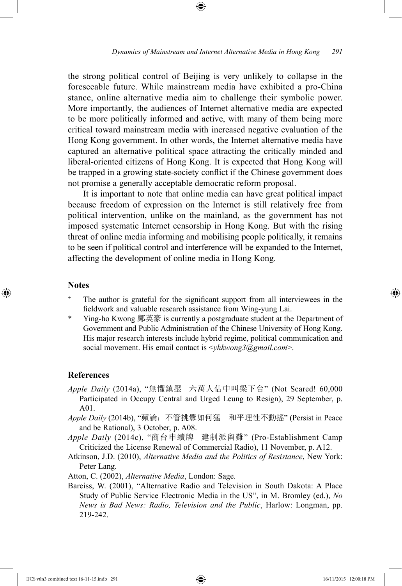the strong political control of Beijing is very unlikely to collapse in the foreseeable future. While mainstream media have exhibited a pro-China stance, online alternative media aim to challenge their symbolic power. More importantly, the audiences of Internet alternative media are expected to be more politically informed and active, with many of them being more critical toward mainstream media with increased negative evaluation of the Hong Kong government. In other words, the Internet alternative media have captured an alternative political space attracting the critically minded and liberal-oriented citizens of Hong Kong. It is expected that Hong Kong will be trapped in a growing state-society conflict if the Chinese government does not promise a generally acceptable democratic reform proposal.

⊕

It is important to note that online media can have great political impact because freedom of expression on the Internet is still relatively free from political intervention, unlike on the mainland, as the government has not imposed systematic Internet censorship in Hong Kong. But with the rising threat of online media informing and mobilising people politically, it remains to be seen if political control and interference will be expanded to the Internet, affecting the development of online media in Hong Kong.

#### **Notes**

⊕

- The author is grateful for the significant support from all interviewees in the fieldwork and valuable research assistance from Wing-yung Lai.
- \* Ying-ho Kwong 鄺英豪 is currently a postgraduate student at the Department of Government and Public Administration of the Chinese University of Hong Kong. His major research interests include hybrid regime, political communication and social movement. His email contact is <*yhkwong3@gmail.com*>.

#### **References**

- *Apple Daily* (2014a), "無懼鎮壓 六萬人佔中叫梁下台" (Not Scared! 60,000 Participated in Occupy Central and Urged Leung to Resign), 29 September, p. A01.
- *Apple Daily* (2014b), "蘋論:不管挑釁如何猛 和平理性不動搖" (Persist in Peace and be Rational), 3 October, p. A08.
- *Apple Daily* (2014c), "商台申續牌 建制派留難" (Pro-Establishment Camp Criticized the License Renewal of Commercial Radio), 11 November, p. A12.
- Atkinson, J.D. (2010), *Alternative Media and the Politics of Resistance*, New York: Peter Lang.
- Atton, C. (2002), *Alternative Media*, London: Sage.
- Bareiss, W. (2001), "Alternative Radio and Television in South Dakota: A Place Study of Public Service Electronic Media in the US", in M. Bromley (ed.), *No News is Bad News: Radio, Television and the Public*, Harlow: Longman, pp. 219-242.

IJCS v6n3 combined text 16-11-15.indb 291 16/11/2015 12:00:18 PM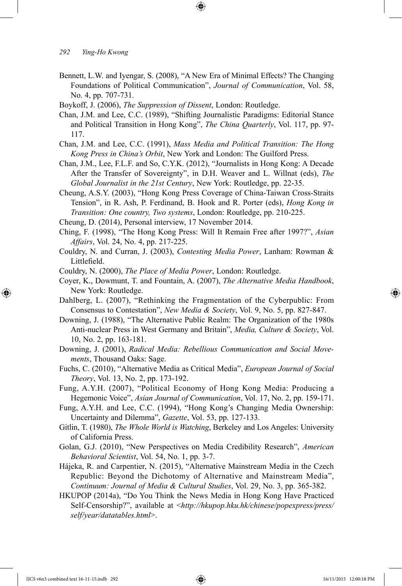- Bennett, L.W. and Iyengar, S. (2008), "A New Era of Minimal Effects? The Changing Foundations of Political Communication", *Journal of Communication*, Vol. 58, No. 4, pp. 707-731.
- Boykoff, J. (2006), *The Suppression of Dissent*, London: Routledge.
- Chan, J.M. and Lee, C.C. (1989), "Shifting Journalistic Paradigms: Editorial Stance and Political Transition in Hong Kong", *The China Quarterly*, Vol. 117, pp. 97- 117.
- Chan, J.M. and Lee, C.C. (1991), *Mass Media and Political Transition: The Hong Kong Press in China's Orbit*, New York and London: The Guilford Press.
- Chan, J.M., Lee, F.L.F. and So, C.Y.K. (2012), "Journalists in Hong Kong: A Decade After the Transfer of Sovereignty", in D.H. Weaver and L. Willnat (eds), *The Global Journalist in the 21st Century*, New York: Routledge, pp. 22-35.
- Cheung, A.S.Y. (2003), "Hong Kong Press Coverage of China-Taiwan Cross-Straits Tension", in R. Ash, P. Ferdinand, B. Hook and R. Porter (eds), *Hong Kong in Transition: One country, Two systems*, London: Routledge, pp. 210-225.
- Cheung, D. (2014), Personal interview, 17 November 2014.
- Ching, F. (1998), "The Hong Kong Press: Will It Remain Free after 1997?", *Asian Affairs*, Vol. 24, No. 4, pp. 217-225.
- Couldry, N. and Curran, J. (2003), *Contesting Media Power*, Lanham: Rowman & Littlefield.
- Couldry, N. (2000), *The Place of Media Power*, London: Routledge.
- Coyer, K., Dowmunt, T. and Fountain, A. (2007), *The Alternative Media Handbook*, New York: Routledge.
- Dahlberg, L. (2007), "Rethinking the Fragmentation of the Cyberpublic: From Consensus to Contestation", *New Media & Society*, Vol. 9, No. 5, pp. 827-847.
- Downing, J. (1988), "The Alternative Public Realm: The Organization of the 1980s Anti-nuclear Press in West Germany and Britain", *Media, Culture & Society*, Vol. 10, No. 2, pp. 163-181.
- Downing, J. (2001), *Radical Media: Rebellious Communication and Social Movements*, Thousand Oaks: Sage.
- Fuchs, C. (2010), "Alternative Media as Critical Media", *European Journal of Social Theory*, Vol. 13, No. 2, pp. 173-192.
- Fung, A.Y.H. (2007), "Political Economy of Hong Kong Media: Producing a Hegemonic Voice", *Asian Journal of Communication*, Vol. 17, No. 2, pp. 159-171.
- Fung, A.Y.H. and Lee, C.C. (1994), "Hong Kong's Changing Media Ownership: Uncertainty and Dilemma", *Gazette*, Vol. 53, pp. 127-133.
- Gitlin, T. (1980), *The Whole World is Watching*, Berkeley and Los Angeles: University of California Press.
- Golan, G.J. (2010), "New Perspectives on Media Credibility Research", *American Behavioral Scientist*, Vol. 54, No. 1, pp. 3-7.
- Hájeka, R. and Carpentier, N. (2015), "Alternative Mainstream Media in the Czech Republic: Beyond the Dichotomy of Alternative and Mainstream Media", *Continuum: Journal of Media & Cultural Studies*, Vol. 29, No. 3, pp. 365-382.
- HKUPOP (2014a), "Do You Think the News Media in Hong Kong Have Practiced Self-Censorship?", available at <*http://hkupop.hku.hk/chinese/popexpress/press/ self/year/datatables.html*>.

IJCS v6n3 combined text 16-11-15.indb 292 16/11/2015 12:00:18 PM

⊕

↔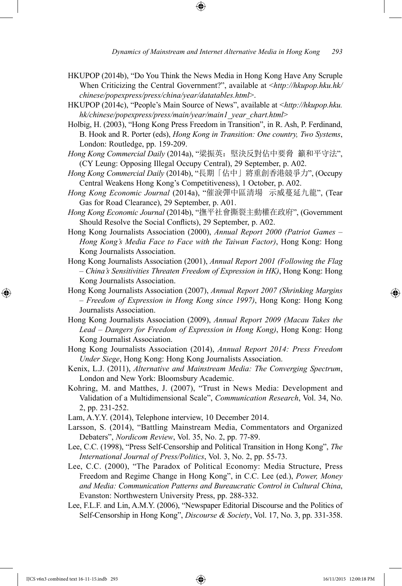- HKUPOP (2014b), "Do You Think the News Media in Hong Kong Have Any Scruple When Criticizing the Central Government?", available at <*http://hkupop.hku.hk/ chinese/popexpress/press/china/year/datatables.html*>.
- HKUPOP (2014c), "People's Main Source of News", available at <*http://hkupop.hku. hk/chinese/popexpress/press/main/year/main1\_year\_chart.html*>
- Holbig, H. (2003), "Hong Kong Press Freedom in Transition", in R. Ash, P. Ferdinand, B. Hook and R. Porter (eds), *Hong Kong in Transition: One country, Two Systems*, London: Routledge, pp. 159-209.
- *Hong Kong Commercial Daily* (2014a), "梁振英:堅決反對佔中要脅 籲和平守法", (CY Leung: Opposing Illegal Occupy Central), 29 September, p. A02.
- *Hong Kong Commercial Daily* (2014b), "長期「佔中」將重創香港競爭力", (Occupy Central Weakens Hong Kong's Competitiveness), 1 October, p. A02.
- *Hong Kong Economic Journal* (2014a), "催淚彈中區清場 示威蔓延九龍", (Tear Gas for Road Clearance), 29 September, p. A01.
- *Hong Kong Economic Journal* (2014b), "撫平社會撕裂主動權在政府", (Government Should Resolve the Social Conflicts), 29 September, p. A02.
- Hong Kong Journalists Association (2000), *Annual Report 2000 (Patriot Games Hong Kong's Media Face to Face with the Taiwan Factor)*, Hong Kong: Hong Kong Journalists Association.
- Hong Kong Journalists Association (2001), *Annual Report 2001 (Following the Flag – China's Sensitivities Threaten Freedom of Expression in HK)*, Hong Kong: Hong Kong Journalists Association.
- Hong Kong Journalists Association (2007), *Annual Report 2007 (Shrinking Margins – Freedom of Expression in Hong Kong since 1997)*, Hong Kong: Hong Kong Journalists Association.
- Hong Kong Journalists Association (2009), *Annual Report 2009 (Macau Takes the Lead – Dangers for Freedom of Expression in Hong Kong)*, Hong Kong: Hong Kong Journalist Association.
- Hong Kong Journalists Association (2014), *Annual Report 2014: Press Freedom Under Siege*, Hong Kong: Hong Kong Journalists Association.
- Kenix, L.J. (2011), *Alternative and Mainstream Media: The Converging Spectrum*, London and New York: Bloomsbury Academic.
- Kohring, M. and Matthes, J. (2007), "Trust in News Media: Development and Validation of a Multidimensional Scale", *Communication Research*, Vol. 34, No. 2, pp. 231-252.
- Lam, A.Y.Y. (2014), Telephone interview, 10 December 2014.
- Larsson, S. (2014), "Battling Mainstream Media, Commentators and Organized Debaters", *Nordicom Review*, Vol. 35, No. 2, pp. 77-89.
- Lee, C.C. (1998), "Press Self-Censorship and Political Transition in Hong Kong", *The International Journal of Press/Politics*, Vol. 3, No. 2, pp. 55-73.
- Lee, C.C. (2000), "The Paradox of Political Economy: Media Structure, Press Freedom and Regime Change in Hong Kong", in C.C. Lee (ed.), *Power, Money and Media: Communication Patterns and Bureaucratic Control in Cultural China*, Evanston: Northwestern University Press, pp. 288-332.
- Lee, F.L.F. and Lin, A.M.Y. (2006), "Newspaper Editorial Discourse and the Politics of Self-Censorship in Hong Kong", *Discourse & Society*, Vol. 17, No. 3, pp. 331-358.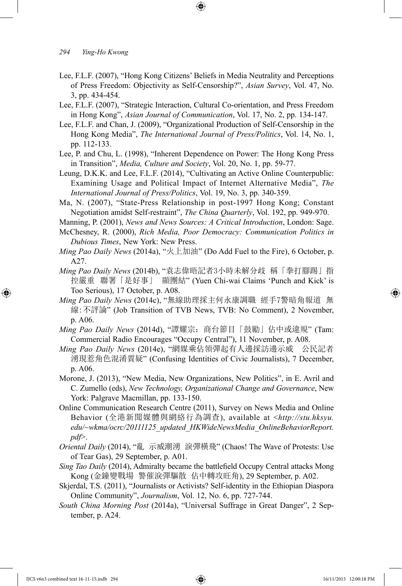- Lee, F.L.F. (2007), "Hong Kong Citizens' Beliefs in Media Neutrality and Perceptions of Press Freedom: Objectivity as Self-Censorship?", *Asian Survey*, Vol. 47, No. 3, pp. 434-454.
- Lee, F.L.F. (2007), "Strategic Interaction, Cultural Co-orientation, and Press Freedom in Hong Kong", *Asian Journal of Communication*, Vol. 17, No. 2, pp. 134-147.
- Lee, F.L.F. and Chan, J. (2009), "Organizational Production of Self-Censorship in the Hong Kong Media", *The International Journal of Press/Politics*, Vol. 14, No. 1, pp. 112-133.
- Lee, P. and Chu, L. (1998), "Inherent Dependence on Power: The Hong Kong Press in Transition", *Media, Culture and Society*, Vol. 20, No. 1, pp. 59-77.
- Leung, D.K.K. and Lee, F.L.F. (2014), "Cultivating an Active Online Counterpublic: Examining Usage and Political Impact of Internet Alternative Media", *The International Journal of Press/Politics*, Vol. 19, No. 3, pp. 340-359.
- Ma, N. (2007), "State-Press Relationship in post-1997 Hong Kong; Constant Negotiation amidst Self-restraint", *The China Quarterly*, Vol. 192, pp. 949-970.
- Manning, P. (2001), *News and News Sources: A Critical Introduction*, London: Sage.
- McChesney, R. (2000), *Rich Media, Poor Democracy: Communication Politics in Dubious Times*, New York: New Press.
- *Ming Pao Daily News* (2014a), "火上加油" (Do Add Fuel to the Fire), 6 October, p. A27.
- *Ming Pao Daily News* (2014b), "袁志偉晤記者3小時未解分歧 稱「拳打腳踢」指 控嚴重 聯署「是好事」 顯團結" (Yuen Chi-wai Claims 'Punch and Kick' is Too Serious), 17 October, p. A08.
- *Ming Pao Daily News* (2014c), "無線助理採主何永康調職 經手7警暗角報道 無 線:不評論" (Job Transition of TVB News, TVB: No Comment), 2 November, p. A06.
- *Ming Pao Daily News* (2014d), "譚耀宗:商台節目「鼓勵」佔中或違規" (Tam: Commercial Radio Encourages "Occupy Central"), 11 November, p. A08.
- *Ming Pao Daily News* (2014e), "網媒乘佔領彈起有人邊採訪邊示威 公民記者 湧現惹角色混淆質疑" (Confusing Identities of Civic Journalists), 7 December, p. A06.
- Morone, J. (2013), "New Media, New Organizations, New Politics", in E. Avril and C. Zumello (eds), *New Technology, Organizational Change and Governance*, New York: Palgrave Macmillan, pp. 133-150.
- Online Communication Research Centre (2011), Survey on News Media and Online Behavior (全港新聞媒體與網絡行為調查), available at <*http://stu.hksyu. edu/~wkma/ocrc/20111125\_updated\_HKWideNewsMedia\_OnlineBehaviorReport. pdf*>.
- *Oriental Daily* (2014), "亂 示威潮湧 淚彈橫飛" (Chaos! The Wave of Protests: Use of Tear Gas), 29 September, p. A01.
- *Sing Tao Daily* (2014), Admiralty became the battlefield Occupy Central attacks Mong Kong (金鐘變戰場 警催淚彈驅散 佔中轉攻旺角), 29 September, p. A02.
- Skjerdal, T.S. (2011), "Journalists or Activists? Self-identity in the Ethiopian Diaspora Online Community", *Journalism*, Vol. 12, No. 6, pp. 727-744.
- *South China Morning Post* (2014a), "Universal Suffrage in Great Danger", 2 September, p. A24.

IJCS v6n3 combined text 16-11-15.indb 294 16/11/2015 12:00:18 PM

⊕